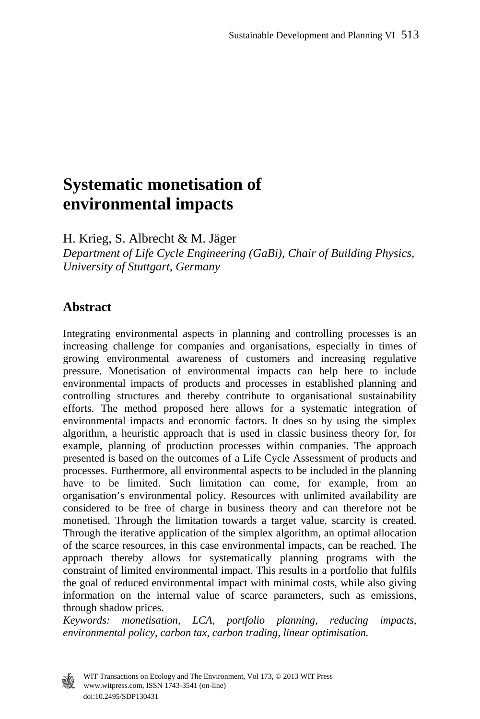# **Systematic monetisation of environmental impacts**

H. Krieg, S. Albrecht & M. Jäger *Department of Life Cycle Engineering (GaBi), Chair of Building Physics, University of Stuttgart, Germany* 

### **Abstract**

Integrating environmental aspects in planning and controlling processes is an increasing challenge for companies and organisations, especially in times of growing environmental awareness of customers and increasing regulative pressure. Monetisation of environmental impacts can help here to include environmental impacts of products and processes in established planning and controlling structures and thereby contribute to organisational sustainability efforts. The method proposed here allows for a systematic integration of environmental impacts and economic factors. It does so by using the simplex algorithm, a heuristic approach that is used in classic business theory for, for example, planning of production processes within companies. The approach presented is based on the outcomes of a Life Cycle Assessment of products and processes. Furthermore, all environmental aspects to be included in the planning have to be limited. Such limitation can come, for example, from an organisation's environmental policy. Resources with unlimited availability are considered to be free of charge in business theory and can therefore not be monetised. Through the limitation towards a target value, scarcity is created. Through the iterative application of the simplex algorithm, an optimal allocation of the scarce resources, in this case environmental impacts, can be reached. The approach thereby allows for systematically planning programs with the constraint of limited environmental impact. This results in a portfolio that fulfils the goal of reduced environmental impact with minimal costs, while also giving information on the internal value of scarce parameters, such as emissions, through shadow prices.

*Keywords: monetisation, LCA, portfolio planning, reducing impacts, environmental policy, carbon tax, carbon trading, linear optimisation.* 



 www.witpress.com, ISSN 1743-3541 (on-line) WIT Transactions on Ecology and The Environment, Vol 173, © 2013 WIT Press doi:10.2495/SDP130431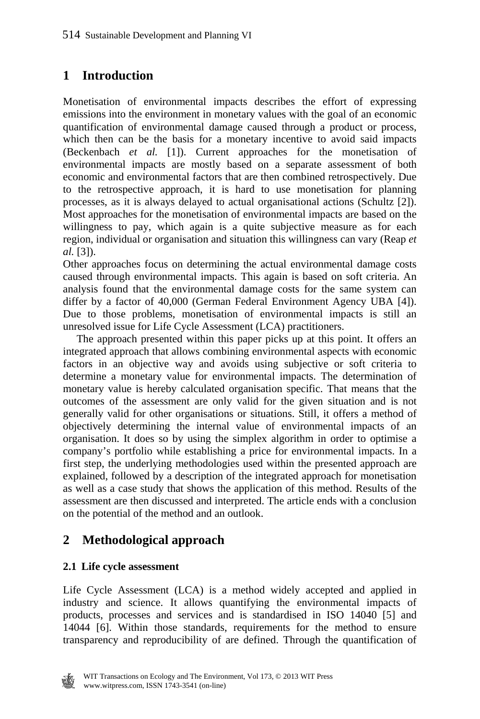# **1 Introduction**

Monetisation of environmental impacts describes the effort of expressing emissions into the environment in monetary values with the goal of an economic quantification of environmental damage caused through a product or process, which then can be the basis for a monetary incentive to avoid said impacts (Beckenbach *et al.* [1]). Current approaches for the monetisation of environmental impacts are mostly based on a separate assessment of both economic and environmental factors that are then combined retrospectively. Due to the retrospective approach, it is hard to use monetisation for planning processes, as it is always delayed to actual organisational actions (Schultz [2]). Most approaches for the monetisation of environmental impacts are based on the willingness to pay, which again is a quite subjective measure as for each region, individual or organisation and situation this willingness can vary (Reap *et al.* [3]).

Other approaches focus on determining the actual environmental damage costs caused through environmental impacts. This again is based on soft criteria. An analysis found that the environmental damage costs for the same system can differ by a factor of 40,000 (German Federal Environment Agency UBA [4]). Due to those problems, monetisation of environmental impacts is still an unresolved issue for Life Cycle Assessment (LCA) practitioners.

 The approach presented within this paper picks up at this point. It offers an integrated approach that allows combining environmental aspects with economic factors in an objective way and avoids using subjective or soft criteria to determine a monetary value for environmental impacts. The determination of monetary value is hereby calculated organisation specific. That means that the outcomes of the assessment are only valid for the given situation and is not generally valid for other organisations or situations. Still, it offers a method of objectively determining the internal value of environmental impacts of an organisation. It does so by using the simplex algorithm in order to optimise a company's portfolio while establishing a price for environmental impacts. In a first step, the underlying methodologies used within the presented approach are explained, followed by a description of the integrated approach for monetisation as well as a case study that shows the application of this method. Results of the assessment are then discussed and interpreted. The article ends with a conclusion on the potential of the method and an outlook.

# **2 Methodological approach**

#### **2.1 Life cycle assessment**

Life Cycle Assessment (LCA) is a method widely accepted and applied in industry and science. It allows quantifying the environmental impacts of products, processes and services and is standardised in ISO 14040 [5] and 14044 [6]. Within those standards, requirements for the method to ensure transparency and reproducibility of are defined. Through the quantification of

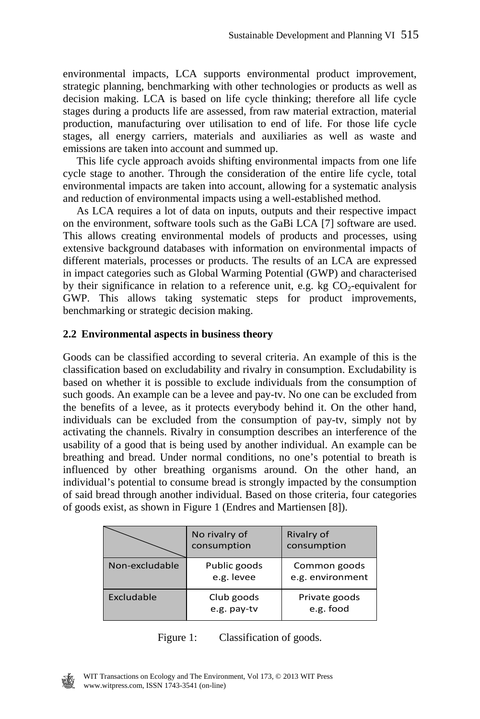environmental impacts, LCA supports environmental product improvement, strategic planning, benchmarking with other technologies or products as well as decision making. LCA is based on life cycle thinking; therefore all life cycle stages during a products life are assessed, from raw material extraction, material production, manufacturing over utilisation to end of life. For those life cycle stages, all energy carriers, materials and auxiliaries as well as waste and emissions are taken into account and summed up.

 This life cycle approach avoids shifting environmental impacts from one life cycle stage to another. Through the consideration of the entire life cycle, total environmental impacts are taken into account, allowing for a systematic analysis and reduction of environmental impacts using a well-established method.

 As LCA requires a lot of data on inputs, outputs and their respective impact on the environment, software tools such as the GaBi LCA [7] software are used. This allows creating environmental models of products and processes, using extensive background databases with information on environmental impacts of different materials, processes or products. The results of an LCA are expressed in impact categories such as Global Warming Potential (GWP) and characterised by their significance in relation to a reference unit, e.g. kg  $CO<sub>2</sub>$ -equivalent for GWP. This allows taking systematic steps for product improvements, benchmarking or strategic decision making.

#### **2.2 Environmental aspects in business theory**

Goods can be classified according to several criteria. An example of this is the classification based on excludability and rivalry in consumption. Excludability is based on whether it is possible to exclude individuals from the consumption of such goods. An example can be a levee and pay-tv. No one can be excluded from the benefits of a levee, as it protects everybody behind it. On the other hand, individuals can be excluded from the consumption of pay-tv, simply not by activating the channels. Rivalry in consumption describes an interference of the usability of a good that is being used by another individual. An example can be breathing and bread. Under normal conditions, no one's potential to breath is influenced by other breathing organisms around. On the other hand, an individual's potential to consume bread is strongly impacted by the consumption of said bread through another individual. Based on those criteria, four categories of goods exist, as shown in Figure 1 (Endres and Martiensen [8]).

|                | No rivalry of<br>consumption | Rivalry of<br>consumption        |  |  |
|----------------|------------------------------|----------------------------------|--|--|
| Non-excludable | Public goods<br>e.g. levee   | Common goods<br>e.g. environment |  |  |
| Excludable     | Club goods<br>e.g. pay-tv    | Private goods<br>e.g. food       |  |  |



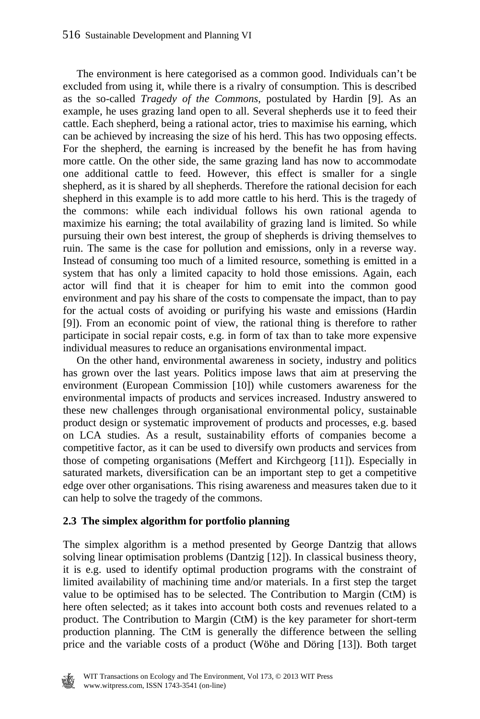The environment is here categorised as a common good. Individuals can't be excluded from using it, while there is a rivalry of consumption. This is described as the so-called *Tragedy of the Commons*, postulated by Hardin [9]. As an example, he uses grazing land open to all. Several shepherds use it to feed their cattle. Each shepherd, being a rational actor, tries to maximise his earning, which can be achieved by increasing the size of his herd. This has two opposing effects. For the shepherd, the earning is increased by the benefit he has from having more cattle. On the other side, the same grazing land has now to accommodate one additional cattle to feed. However, this effect is smaller for a single shepherd, as it is shared by all shepherds. Therefore the rational decision for each shepherd in this example is to add more cattle to his herd. This is the tragedy of the commons: while each individual follows his own rational agenda to maximize his earning; the total availability of grazing land is limited. So while pursuing their own best interest, the group of shepherds is driving themselves to ruin. The same is the case for pollution and emissions, only in a reverse way. Instead of consuming too much of a limited resource, something is emitted in a system that has only a limited capacity to hold those emissions. Again, each actor will find that it is cheaper for him to emit into the common good environment and pay his share of the costs to compensate the impact, than to pay for the actual costs of avoiding or purifying his waste and emissions (Hardin [9]). From an economic point of view, the rational thing is therefore to rather participate in social repair costs, e.g. in form of tax than to take more expensive individual measures to reduce an organisations environmental impact.

 On the other hand, environmental awareness in society, industry and politics has grown over the last years. Politics impose laws that aim at preserving the environment (European Commission [10]) while customers awareness for the environmental impacts of products and services increased. Industry answered to these new challenges through organisational environmental policy, sustainable product design or systematic improvement of products and processes, e.g. based on LCA studies. As a result, sustainability efforts of companies become a competitive factor, as it can be used to diversify own products and services from those of competing organisations (Meffert and Kirchgeorg [11]). Especially in saturated markets, diversification can be an important step to get a competitive edge over other organisations. This rising awareness and measures taken due to it can help to solve the tragedy of the commons.

#### **2.3 The simplex algorithm for portfolio planning**

The simplex algorithm is a method presented by George Dantzig that allows solving linear optimisation problems (Dantzig [12]). In classical business theory, it is e.g. used to identify optimal production programs with the constraint of limited availability of machining time and/or materials. In a first step the target value to be optimised has to be selected. The Contribution to Margin (CtM) is here often selected; as it takes into account both costs and revenues related to a product. The Contribution to Margin (CtM) is the key parameter for short-term production planning. The CtM is generally the difference between the selling price and the variable costs of a product (Wöhe and Döring [13]). Both target

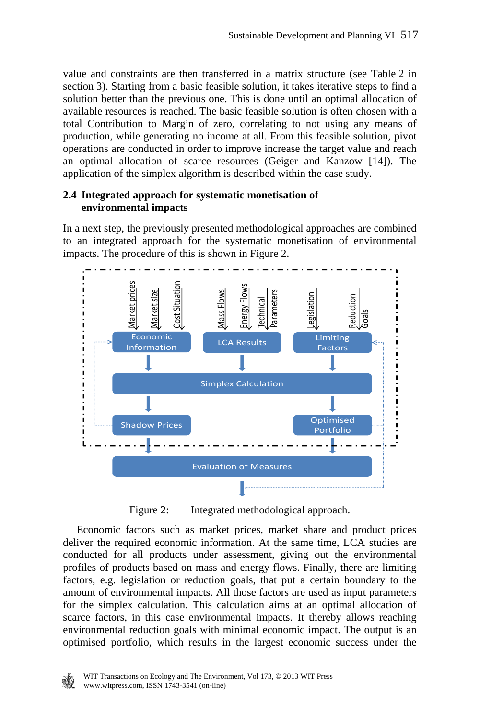value and constraints are then transferred in a matrix structure (see Table 2 in section 3). Starting from a basic feasible solution, it takes iterative steps to find a solution better than the previous one. This is done until an optimal allocation of available resources is reached. The basic feasible solution is often chosen with a total Contribution to Margin of zero, correlating to not using any means of production, while generating no income at all. From this feasible solution, pivot operations are conducted in order to improve increase the target value and reach an optimal allocation of scarce resources (Geiger and Kanzow [14]). The application of the simplex algorithm is described within the case study.

#### **2.4 Integrated approach for systematic monetisation of environmental impacts**

In a next step, the previously presented methodological approaches are combined to an integrated approach for the systematic monetisation of environmental impacts. The procedure of this is shown in Figure 2.



Figure 2: Integrated methodological approach.

 Economic factors such as market prices, market share and product prices deliver the required economic information. At the same time, LCA studies are conducted for all products under assessment, giving out the environmental profiles of products based on mass and energy flows. Finally, there are limiting factors, e.g. legislation or reduction goals, that put a certain boundary to the amount of environmental impacts. All those factors are used as input parameters for the simplex calculation. This calculation aims at an optimal allocation of scarce factors, in this case environmental impacts. It thereby allows reaching environmental reduction goals with minimal economic impact. The output is an optimised portfolio, which results in the largest economic success under the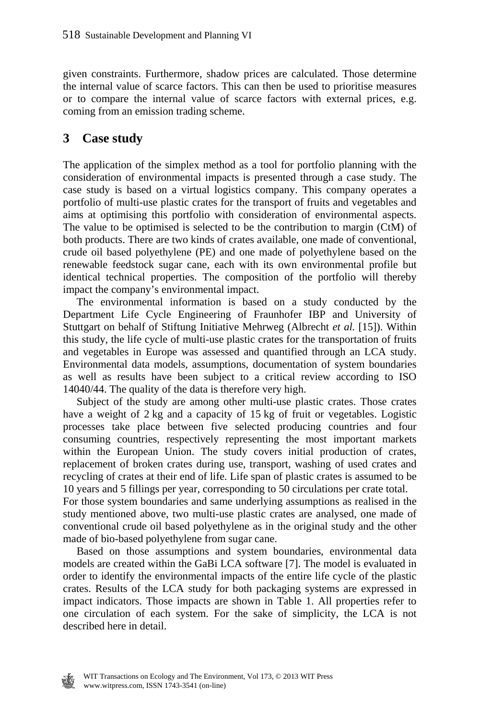given constraints. Furthermore, shadow prices are calculated. Those determine the internal value of scarce factors. This can then be used to prioritise measures or to compare the internal value of scarce factors with external prices, e.g. coming from an emission trading scheme.

## **3 Case study**

The application of the simplex method as a tool for portfolio planning with the consideration of environmental impacts is presented through a case study. The case study is based on a virtual logistics company. This company operates a portfolio of multi-use plastic crates for the transport of fruits and vegetables and aims at optimising this portfolio with consideration of environmental aspects. The value to be optimised is selected to be the contribution to margin (CtM) of both products. There are two kinds of crates available, one made of conventional, crude oil based polyethylene (PE) and one made of polyethylene based on the renewable feedstock sugar cane, each with its own environmental profile but identical technical properties. The composition of the portfolio will thereby impact the company's environmental impact.

 The environmental information is based on a study conducted by the Department Life Cycle Engineering of Fraunhofer IBP and University of Stuttgart on behalf of Stiftung Initiative Mehrweg (Albrecht *et al.* [15]). Within this study, the life cycle of multi-use plastic crates for the transportation of fruits and vegetables in Europe was assessed and quantified through an LCA study. Environmental data models, assumptions, documentation of system boundaries as well as results have been subject to a critical review according to ISO 14040/44. The quality of the data is therefore very high.

 Subject of the study are among other multi-use plastic crates. Those crates have a weight of 2 kg and a capacity of 15 kg of fruit or vegetables. Logistic processes take place between five selected producing countries and four consuming countries, respectively representing the most important markets within the European Union. The study covers initial production of crates, replacement of broken crates during use, transport, washing of used crates and recycling of crates at their end of life. Life span of plastic crates is assumed to be 10 years and 5 fillings per year, corresponding to 50 circulations per crate total.

For those system boundaries and same underlying assumptions as realised in the study mentioned above, two multi-use plastic crates are analysed, one made of conventional crude oil based polyethylene as in the original study and the other made of bio-based polyethylene from sugar cane.

 Based on those assumptions and system boundaries, environmental data models are created within the GaBi LCA software [7]. The model is evaluated in order to identify the environmental impacts of the entire life cycle of the plastic crates. Results of the LCA study for both packaging systems are expressed in impact indicators. Those impacts are shown in Table 1. All properties refer to one circulation of each system. For the sake of simplicity, the LCA is not described here in detail.

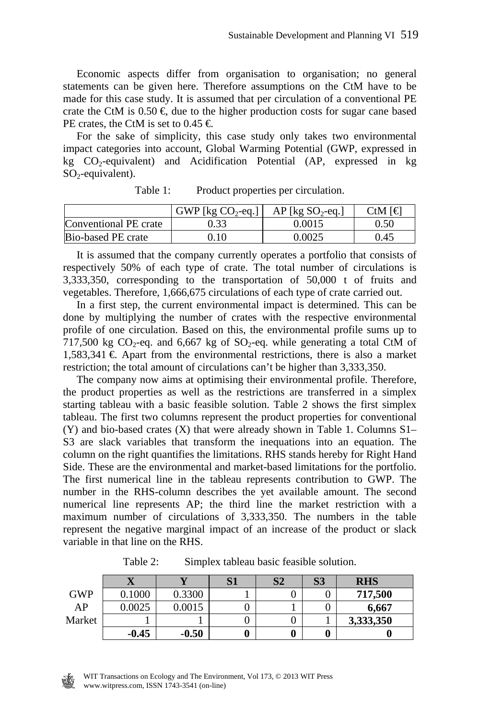Economic aspects differ from organisation to organisation; no general statements can be given here. Therefore assumptions on the CtM have to be made for this case study. It is assumed that per circulation of a conventional PE crate the CtM is  $0.50 \in \text{due to the higher production costs for sugar can be based}$ PE crates, the CtM is set to 0.45  $\in$ 

 For the sake of simplicity, this case study only takes two environmental impact categories into account, Global Warming Potential (GWP, expressed in kg  $CO_2$ -equivalent) and Acidification Potential (AP, expressed in kg  $SO_2$ -equivalent).

|                       | GWP [ $kg CO2$ -eq.] | $AP$ [kg SO <sub>2</sub> -eq.] | CtM [€ |
|-----------------------|----------------------|--------------------------------|--------|
| Conventional PE crate |                      | 0.0015                         | 0.50   |
| Bio-based PE crate    | 0.10                 | 0.0025                         | 0.45   |

Table 1: Product properties per circulation.

 It is assumed that the company currently operates a portfolio that consists of respectively 50% of each type of crate. The total number of circulations is 3,333,350, corresponding to the transportation of 50,000 t of fruits and vegetables. Therefore, 1,666,675 circulations of each type of crate carried out.

 In a first step, the current environmental impact is determined. This can be done by multiplying the number of crates with the respective environmental profile of one circulation. Based on this, the environmental profile sums up to 717,500 kg  $CO_2$ -eq. and 6,667 kg of  $SO_2$ -eq. while generating a total CtM of  $1,583,341 \in$  Apart from the environmental restrictions, there is also a market restriction; the total amount of circulations can't be higher than 3,333,350.

 The company now aims at optimising their environmental profile. Therefore, the product properties as well as the restrictions are transferred in a simplex starting tableau with a basic feasible solution. Table 2 shows the first simplex tableau. The first two columns represent the product properties for conventional (Y) and bio-based crates (X) that were already shown in Table 1. Columns S1– S3 are slack variables that transform the inequations into an equation. The column on the right quantifies the limitations. RHS stands hereby for Right Hand Side. These are the environmental and market-based limitations for the portfolio. The first numerical line in the tableau represents contribution to GWP. The number in the RHS-column describes the yet available amount. The second numerical line represents AP; the third line the market restriction with a maximum number of circulations of 3,333,350. The numbers in the table represent the negative marginal impact of an increase of the product or slack variable in that line on the RHS.

|            | ∡⊾      |         | S <sub>2</sub> | S <sub>3</sub> | <b>RHS</b> |
|------------|---------|---------|----------------|----------------|------------|
| <b>GWP</b> | 0.1000  | 0.3300  |                | U              | 717,500    |
| AP         | 0.0025  | 0.0015  |                | U              | 6,667      |
| Market     |         |         |                |                | 3,333,350  |
|            | $-0.45$ | $-0.50$ |                | 0              |            |

Table 2: Simplex tableau basic feasible solution.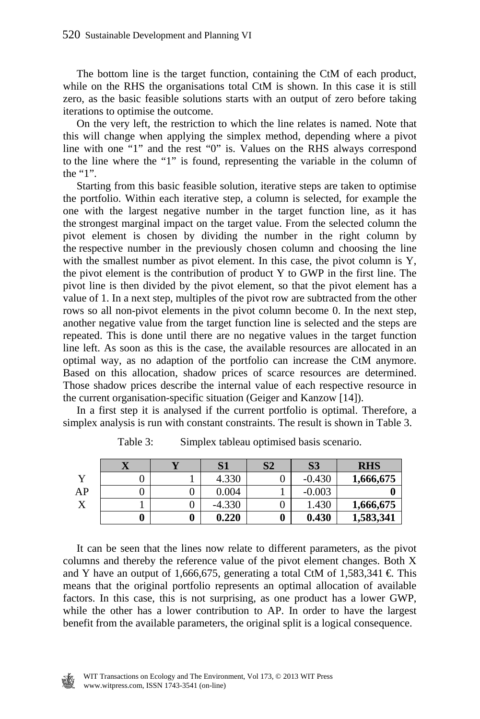The bottom line is the target function, containing the CtM of each product, while on the RHS the organisations total CtM is shown. In this case it is still zero, as the basic feasible solutions starts with an output of zero before taking iterations to optimise the outcome.

 On the very left, the restriction to which the line relates is named. Note that this will change when applying the simplex method, depending where a pivot line with one "1" and the rest "0" is. Values on the RHS always correspond to the line where the "1" is found, representing the variable in the column of the "1".

 Starting from this basic feasible solution, iterative steps are taken to optimise the portfolio. Within each iterative step, a column is selected, for example the one with the largest negative number in the target function line, as it has the strongest marginal impact on the target value. From the selected column the pivot element is chosen by dividing the number in the right column by the respective number in the previously chosen column and choosing the line with the smallest number as pivot element. In this case, the pivot column is Y, the pivot element is the contribution of product Y to GWP in the first line. The pivot line is then divided by the pivot element, so that the pivot element has a value of 1. In a next step, multiples of the pivot row are subtracted from the other rows so all non-pivot elements in the pivot column become 0. In the next step, another negative value from the target function line is selected and the steps are repeated. This is done until there are no negative values in the target function line left. As soon as this is the case, the available resources are allocated in an optimal way, as no adaption of the portfolio can increase the CtM anymore. Based on this allocation, shadow prices of scarce resources are determined. Those shadow prices describe the internal value of each respective resource in the current organisation-specific situation (Geiger and Kanzow [14]).

 In a first step it is analysed if the current portfolio is optimal. Therefore, a simplex analysis is run with constant constraints. The result is shown in Table 3.

|    | ZX | S1       | S <sub>2</sub> | S <sub>3</sub> | <b>RHS</b> |
|----|----|----------|----------------|----------------|------------|
|    |    | 4.330    |                | $-0.430$       | 1,666,675  |
| AP |    | 0.004    |                | $-0.003$       |            |
| л  |    | $-4.330$ |                | 1.430          | 1,666,675  |
|    | 0  | 0.220    |                | 0.430          | 1,583,341  |

Table 3: Simplex tableau optimised basis scenario.

 It can be seen that the lines now relate to different parameters, as the pivot columns and thereby the reference value of the pivot element changes. Both X and Y have an output of 1,666,675, generating a total CtM of 1,583,341  $\in$  This means that the original portfolio represents an optimal allocation of available factors. In this case, this is not surprising, as one product has a lower GWP, while the other has a lower contribution to AP. In order to have the largest benefit from the available parameters, the original split is a logical consequence.

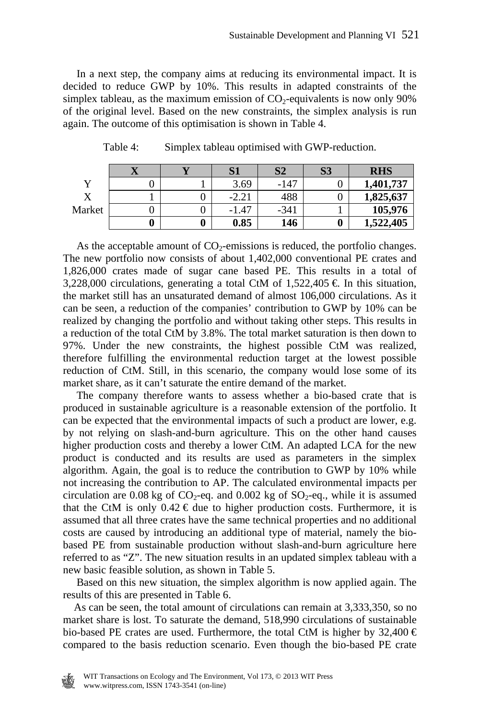In a next step, the company aims at reducing its environmental impact. It is decided to reduce GWP by 10%. This results in adapted constraints of the simplex tableau, as the maximum emission of  $CO<sub>2</sub>$ -equivalents is now only 90% of the original level. Based on the new constraints, the simplex analysis is run again. The outcome of this optimisation is shown in Table 4.

|        |  | S <sub>1</sub> | S <sub>2</sub> | <b>S3</b> | <b>RHS</b> |
|--------|--|----------------|----------------|-----------|------------|
|        |  | 3.69           | $-147$         |           | 1,401,737  |
|        |  | $-2.21$        | 488            |           | 1,825,637  |
| Market |  | $-1.47$        | $-341$         |           | 105,976    |
|        |  | 0.85           | 146            |           | 1,522,405  |

Table 4: Simplex tableau optimised with GWP-reduction.

As the acceptable amount of  $CO<sub>2</sub>$ -emissions is reduced, the portfolio changes. The new portfolio now consists of about 1,402,000 conventional PE crates and 1,826,000 crates made of sugar cane based PE. This results in a total of 3,228,000 circulations, generating a total CtM of  $1,522,405 \in$  In this situation, the market still has an unsaturated demand of almost 106,000 circulations. As it can be seen, a reduction of the companies' contribution to GWP by 10% can be realized by changing the portfolio and without taking other steps. This results in a reduction of the total CtM by 3.8%. The total market saturation is then down to 97%. Under the new constraints, the highest possible CtM was realized, therefore fulfilling the environmental reduction target at the lowest possible reduction of CtM. Still, in this scenario, the company would lose some of its market share, as it can't saturate the entire demand of the market.

 The company therefore wants to assess whether a bio-based crate that is produced in sustainable agriculture is a reasonable extension of the portfolio. It can be expected that the environmental impacts of such a product are lower, e.g. by not relying on slash-and-burn agriculture. This on the other hand causes higher production costs and thereby a lower CtM. An adapted LCA for the new product is conducted and its results are used as parameters in the simplex algorithm. Again, the goal is to reduce the contribution to GWP by 10% while not increasing the contribution to AP. The calculated environmental impacts per circulation are 0.08 kg of  $CO_2$ -eq. and 0.002 kg of  $SO_2$ -eq., while it is assumed that the CtM is only  $0.42 \in \text{due to higher production costs. Furthermore, it is}$ assumed that all three crates have the same technical properties and no additional costs are caused by introducing an additional type of material, namely the biobased PE from sustainable production without slash-and-burn agriculture here referred to as "Z". The new situation results in an updated simplex tableau with a new basic feasible solution, as shown in Table 5.

 Based on this new situation, the simplex algorithm is now applied again. The results of this are presented in Table 6.

 As can be seen, the total amount of circulations can remain at 3,333,350, so no market share is lost. To saturate the demand, 518,990 circulations of sustainable bio-based PE crates are used. Furthermore, the total CtM is higher by  $32,400 \in$ compared to the basis reduction scenario. Even though the bio-based PE crate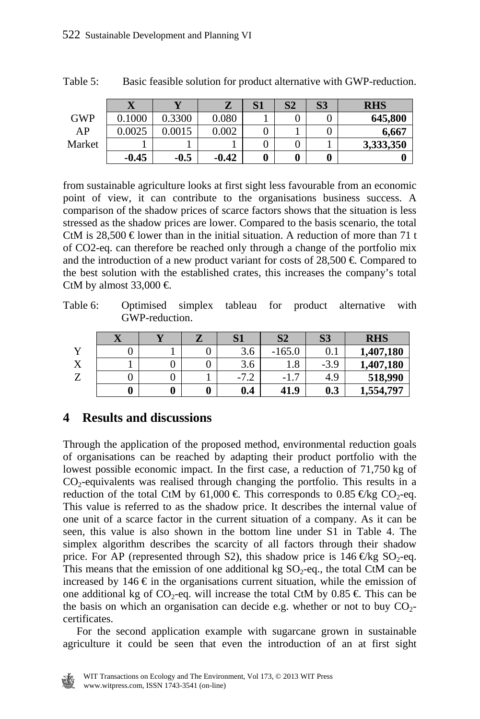|            | ∡⊾      |        |         | S <sub>1</sub> | S <sub>2</sub> | S <sub>3</sub> | <b>RHS</b> |
|------------|---------|--------|---------|----------------|----------------|----------------|------------|
| <b>GWP</b> | 0.1000  | 0.3300 | 0.080   |                |                |                | 645,800    |
| AP         | 0.0025  | 0.0015 | 0.002   |                |                |                | 6.667      |
| Market     |         |        |         |                |                |                | 3,333,350  |
|            | $-0.45$ | $-0.5$ | $-0.42$ |                |                |                |            |

Table 5: Basic feasible solution for product alternative with GWP-reduction.

from sustainable agriculture looks at first sight less favourable from an economic point of view, it can contribute to the organisations business success. A comparison of the shadow prices of scarce factors shows that the situation is less stressed as the shadow prices are lower. Compared to the basis scenario, the total CtM is 28,500  $\in$  lower than in the initial situation. A reduction of more than 71 t of CO2-eq. can therefore be reached only through a change of the portfolio mix and the introduction of a new product variant for costs of  $28.500 \in \text{Compared}$  to the best solution with the established crates, this increases the company's total CtM by almost 33,000  $\in$ 

Table 6: Optimised simplex tableau for product alternative with GWP-reduction.

|              | V |   |   | C <sub>1</sub><br>IJΙ | S <sub>2</sub>           | S <sub>3</sub> | <b>RHS</b> |
|--------------|---|---|---|-----------------------|--------------------------|----------------|------------|
| $\mathbf{v}$ |   |   |   | 3.6                   | 165.0<br>-               | $\rm 0.1$      | 1,407,180  |
| $\mathbf{v}$ |   |   |   | 3.6                   | 1.8                      | $-3.9$         | 1,407,180  |
|              |   |   |   | $\sim$<br>Ξ.          | $\overline{ }$<br>$-1.1$ | 4.9            | 518,990    |
|              |   | 0 | 0 | 0.4                   | 41.9                     | 0.3            | 1,554,797  |

# **4 Results and discussions**

Through the application of the proposed method, environmental reduction goals of organisations can be reached by adapting their product portfolio with the lowest possible economic impact. In the first case, a reduction of 71,750 kg of  $CO<sub>2</sub>$ -equivalents was realised through changing the portfolio. This results in a reduction of the total CtM by 61,000  $\in$  This corresponds to 0.85  $\in$ kg CO<sub>2</sub>-eq. This value is referred to as the shadow price. It describes the internal value of one unit of a scarce factor in the current situation of a company. As it can be seen, this value is also shown in the bottom line under S1 in Table 4. The simplex algorithm describes the scarcity of all factors through their shadow price. For AP (represented through S2), this shadow price is  $146 \text{ Ekg SO}_2$ -eq. This means that the emission of one additional kg  $SO_2$ -eq., the total CtM can be increased by 146  $\epsilon$  in the organisations current situation, while the emission of one additional kg of  $CO_2$ -eq. will increase the total CtM by 0.85  $\in$  This can be the basis on which an organisation can decide e.g. whether or not to buy  $CO<sub>2</sub>$ certificates.

 For the second application example with sugarcane grown in sustainable agriculture it could be seen that even the introduction of an at first sight

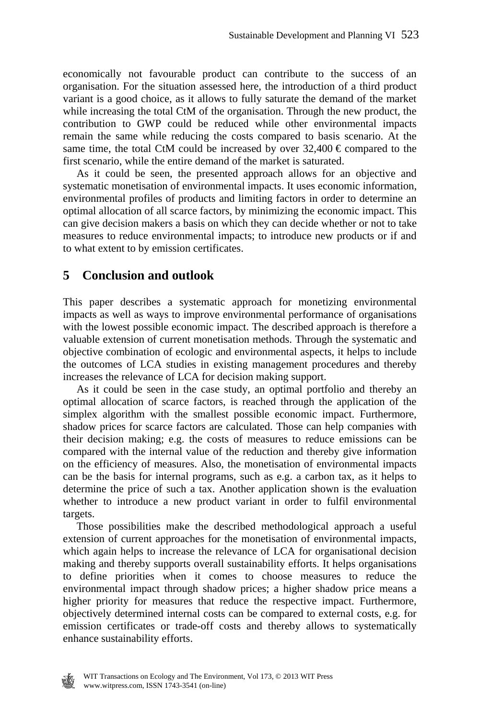economically not favourable product can contribute to the success of an organisation. For the situation assessed here, the introduction of a third product variant is a good choice, as it allows to fully saturate the demand of the market while increasing the total CtM of the organisation. Through the new product, the contribution to GWP could be reduced while other environmental impacts remain the same while reducing the costs compared to basis scenario. At the same time, the total CtM could be increased by over  $32.400 \in \text{compared}$  to the first scenario, while the entire demand of the market is saturated.

 As it could be seen, the presented approach allows for an objective and systematic monetisation of environmental impacts. It uses economic information, environmental profiles of products and limiting factors in order to determine an optimal allocation of all scarce factors, by minimizing the economic impact. This can give decision makers a basis on which they can decide whether or not to take measures to reduce environmental impacts; to introduce new products or if and to what extent to by emission certificates.

### **5 Conclusion and outlook**

This paper describes a systematic approach for monetizing environmental impacts as well as ways to improve environmental performance of organisations with the lowest possible economic impact. The described approach is therefore a valuable extension of current monetisation methods. Through the systematic and objective combination of ecologic and environmental aspects, it helps to include the outcomes of LCA studies in existing management procedures and thereby increases the relevance of LCA for decision making support.

 As it could be seen in the case study, an optimal portfolio and thereby an optimal allocation of scarce factors, is reached through the application of the simplex algorithm with the smallest possible economic impact. Furthermore, shadow prices for scarce factors are calculated. Those can help companies with their decision making; e.g. the costs of measures to reduce emissions can be compared with the internal value of the reduction and thereby give information on the efficiency of measures. Also, the monetisation of environmental impacts can be the basis for internal programs, such as e.g. a carbon tax, as it helps to determine the price of such a tax. Another application shown is the evaluation whether to introduce a new product variant in order to fulfil environmental targets.

 Those possibilities make the described methodological approach a useful extension of current approaches for the monetisation of environmental impacts, which again helps to increase the relevance of LCA for organisational decision making and thereby supports overall sustainability efforts. It helps organisations to define priorities when it comes to choose measures to reduce the environmental impact through shadow prices; a higher shadow price means a higher priority for measures that reduce the respective impact. Furthermore, objectively determined internal costs can be compared to external costs, e.g. for emission certificates or trade-off costs and thereby allows to systematically enhance sustainability efforts.